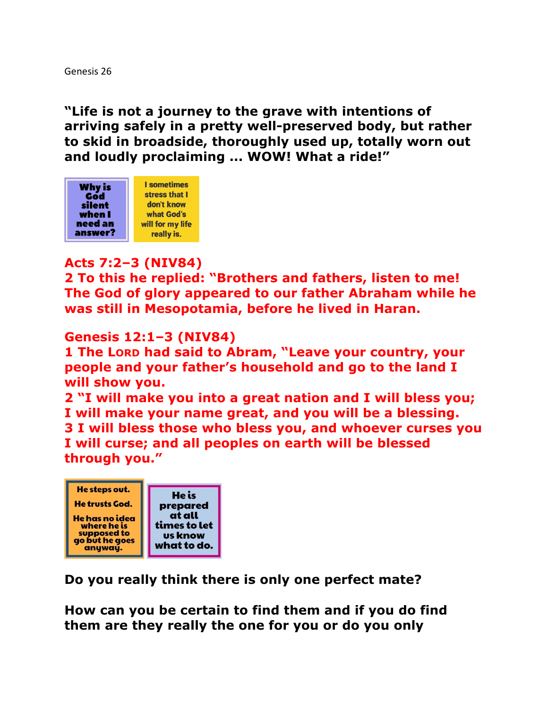Genesis 26

**"Life is not a journey to the grave with intentions of arriving safely in a pretty well-preserved body, but rather to skid in broadside, thoroughly used up, totally worn out and loudly proclaiming ... WOW! What a ride!"**

| <b>Why is</b> | <b>I</b> sometimes |
|---------------|--------------------|
| God           | stress that I      |
| silent        | don't know         |
| when I        | what God's         |
| need an       | will for my life   |
| answer?       | really is.         |

## **Acts 7:2–3 (NIV84)**

**2 To this he replied: "Brothers and fathers, listen to me! The God of glory appeared to our father Abraham while he was still in Mesopotamia, before he lived in Haran.** 

### **Genesis 12:1–3 (NIV84)**

**1 The LORD had said to Abram, "Leave your country, your people and your father's household and go to the land I will show you.** 

**2 "I will make you into a great nation and I will bless you; I will make your name great, and you will be a blessing. 3 I will bless those who bless you, and whoever curses you I will curse; and all peoples on earth will be blessed through you."** 



**Do you really think there is only one perfect mate?**

**How can you be certain to find them and if you do find them are they really the one for you or do you only**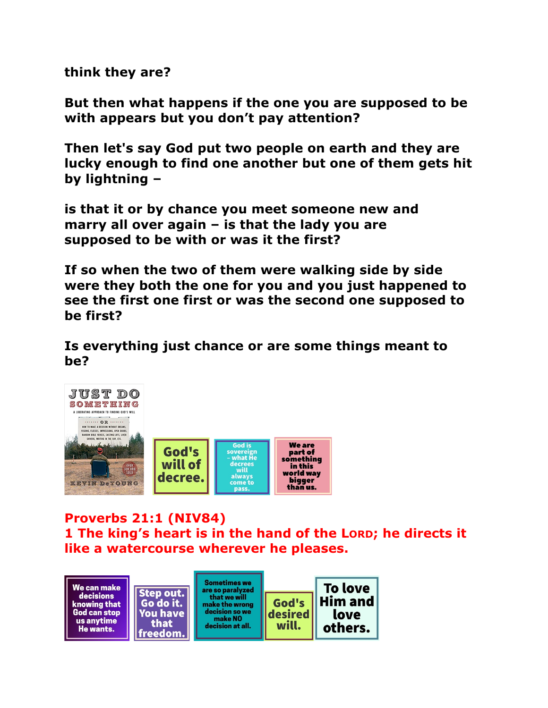**think they are?**

**But then what happens if the one you are supposed to be with appears but you don't pay attention?**

**Then let's say God put two people on earth and they are lucky enough to find one another but one of them gets hit by lightning –**

**is that it or by chance you meet someone new and marry all over again – is that the lady you are supposed to be with or was it the first?**

**If so when the two of them were walking side by side were they both the one for you and you just happened to see the first one first or was the second one supposed to be first?**

**Is everything just chance or are some things meant to be?**



**Proverbs 21:1 (NIV84) 1 The king's heart is in the hand of the LORD; he directs it like a watercourse wherever he pleases.** 

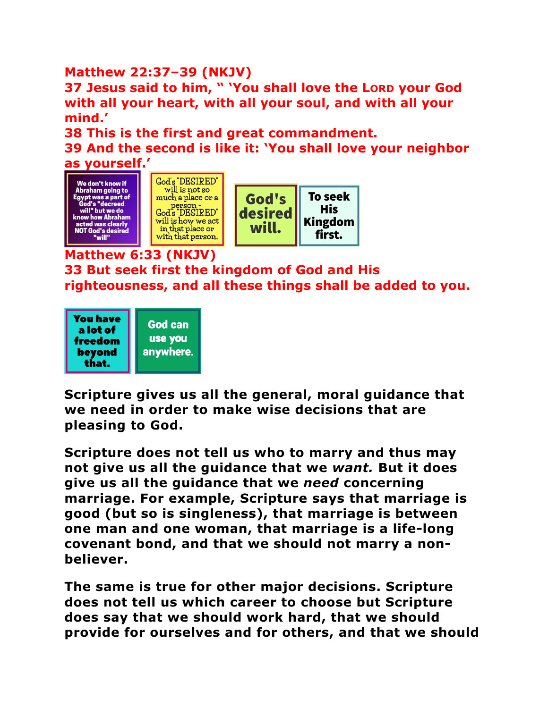### **Matthew 22:37–39 (NKJV)**

**37 Jesus said to him, " 'You shall love the LORD your God with all your heart, with all your soul, and with all your mind.'** 

**38 This is the first and great commandment. 39 And the second is like it: 'You shall love your neighbor as yourself.'** 



**Matthew 6:33 (NKJV)** 

**33 But seek first the kingdom of God and His righteousness, and all these things shall be added to you.** 



**Scripture gives us all the general, moral guidance that we need in order to make wise decisions that are pleasing to God.**

**Scripture does not tell us who to marry and thus may not give us all the guidance that we** *want.* **But it does give us all the guidance that we** *need* **concerning marriage. For example, Scripture says that marriage is good (but so is singleness), that marriage is between one man and one woman, that marriage is a life-long covenant bond, and that we should not marry a nonbeliever.**

**The same is true for other major decisions. Scripture does not tell us which career to choose but Scripture does say that we should work hard, that we should provide for ourselves and for others, and that we should**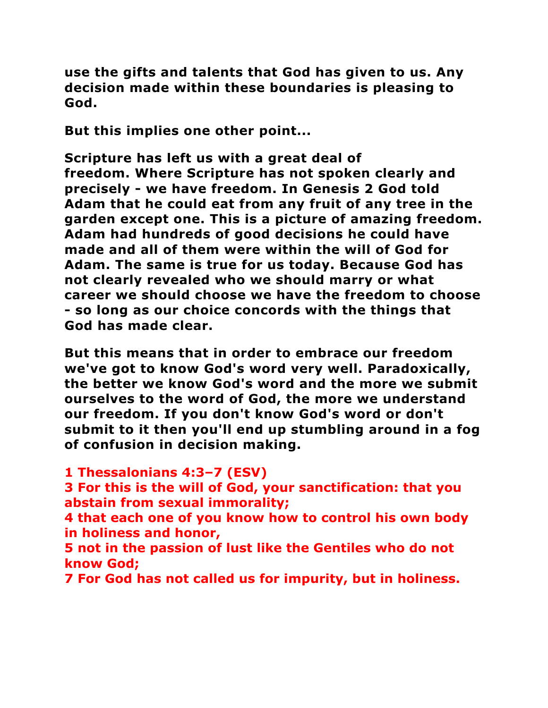**use the gifts and talents that God has given to us. Any decision made within these boundaries is pleasing to God.** 

**But this implies one other point...**

**Scripture has left us with a great deal of freedom. Where Scripture has not spoken clearly and precisely - we have freedom. In Genesis 2 God told Adam that he could eat from any fruit of any tree in the garden except one. This is a picture of amazing freedom. Adam had hundreds of good decisions he could have made and all of them were within the will of God for Adam. The same is true for us today. Because God has not clearly revealed who we should marry or what career we should choose we have the freedom to choose - so long as our choice concords with the things that God has made clear.**

**But this means that in order to embrace our freedom we've got to know God's word very well. Paradoxically, the better we know God's word and the more we submit ourselves to the word of God, the more we understand our freedom. If you don't know God's word or don't submit to it then you'll end up stumbling around in a fog of confusion in decision making.**

#### **1 Thessalonians 4:3–7 (ESV)**

**3 For this is the will of God, your sanctification: that you abstain from sexual immorality;** 

**4 that each one of you know how to control his own body in holiness and honor,** 

**5 not in the passion of lust like the Gentiles who do not know God;** 

**7 For God has not called us for impurity, but in holiness.**